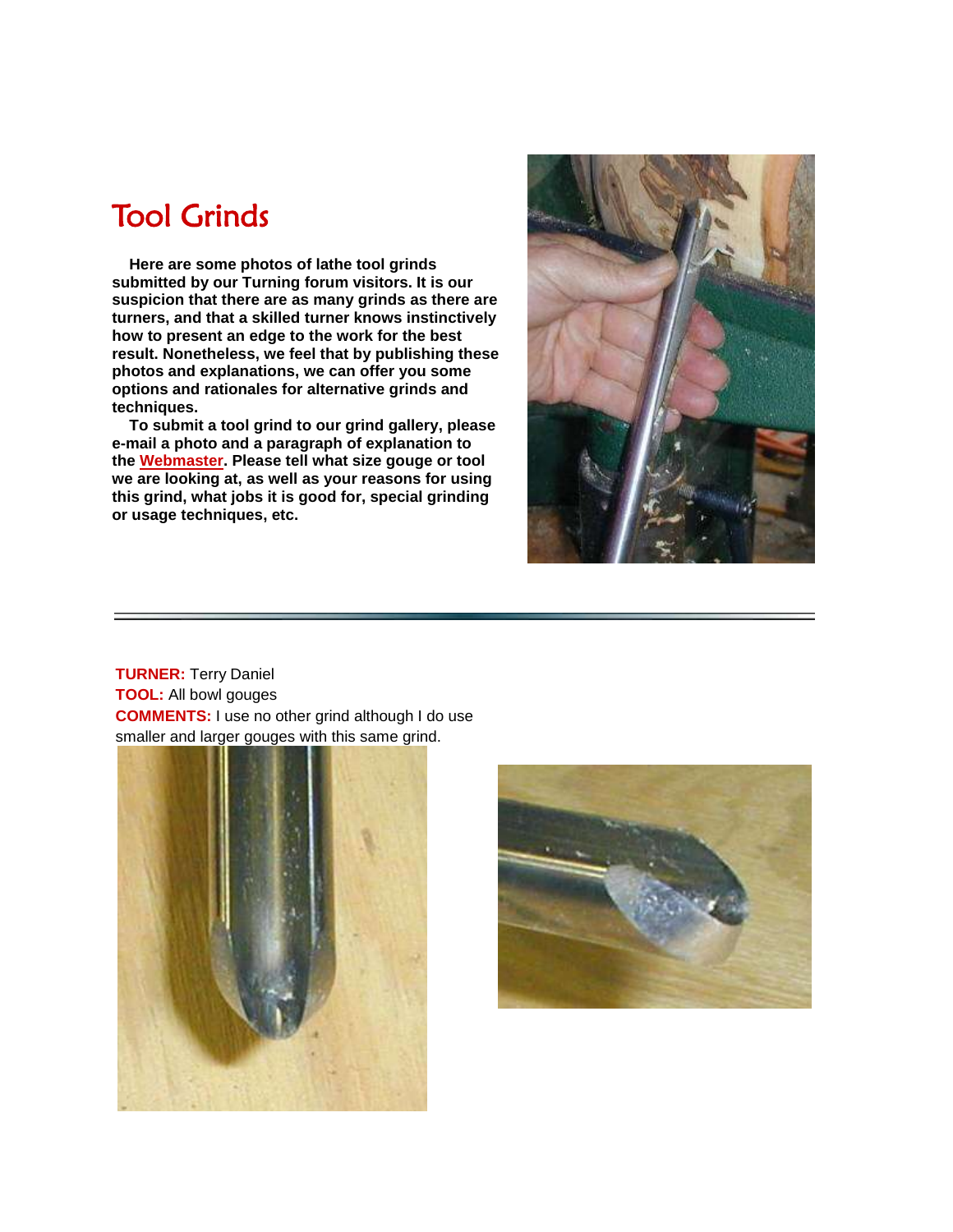# Tool Grinds

 **Here are some photos of lathe tool grinds submitted by our Turning forum visitors. It is our suspicion that there are as many grinds as there are turners, and that a skilled turner knows instinctively how to present an edge to the work for the best result. Nonetheless, we feel that by publishing these photos and explanations, we can offer you some options and rationales for alternative grinds and techniques.**

 **To submit a tool grind to our grind gallery, please e-mail a photo and a paragraph of explanation to the [Webmaster.](mailto:articles@woodcentral.com) Please tell what size gouge or tool we are looking at, as well as your reasons for using this grind, what jobs it is good for, special grinding or usage techniques, etc.**



**TURNER:** Terry Daniel **TOOL:** All bowl gouges **COMMENTS:** I use no other grind although I do use smaller and larger gouges with this same grind.



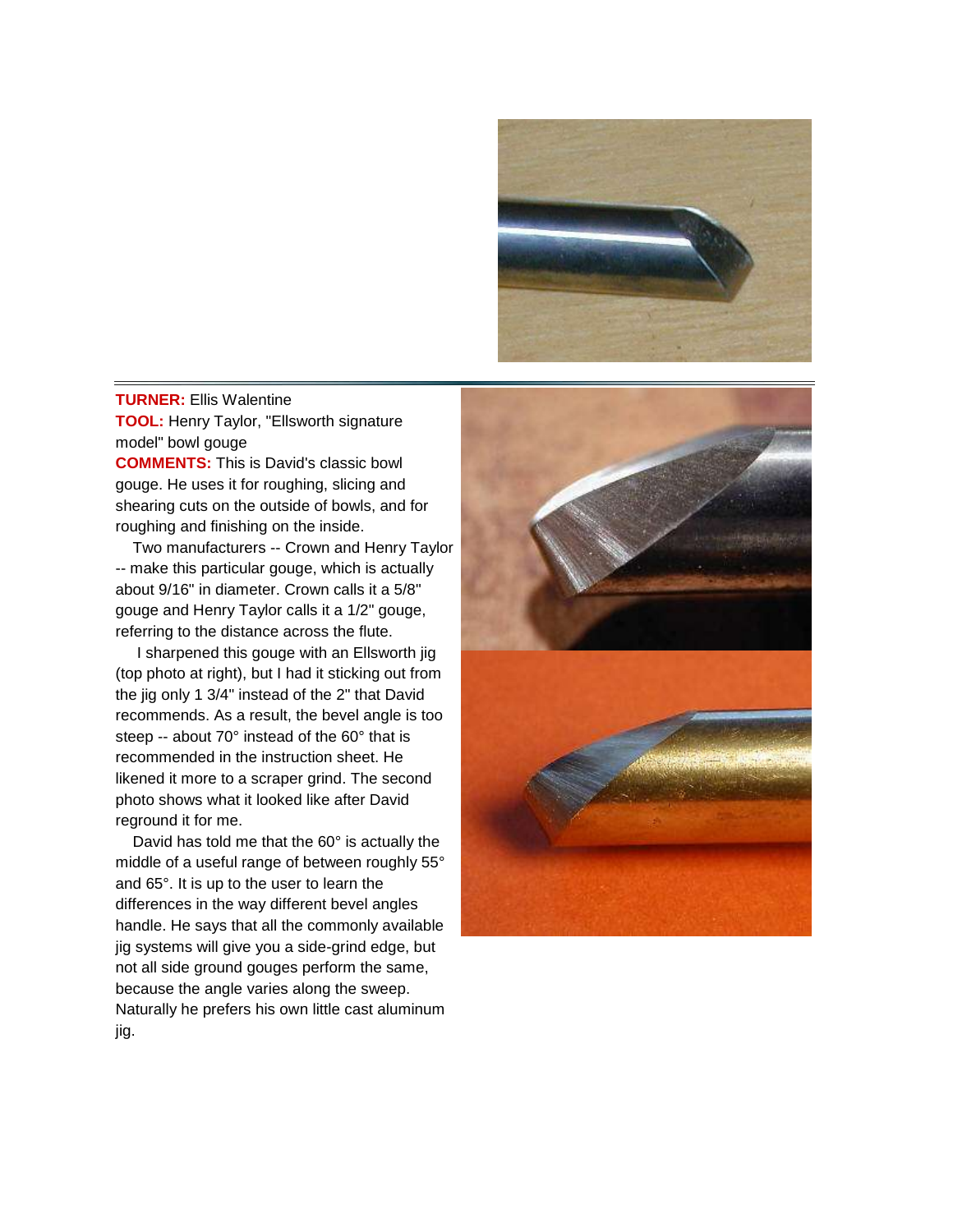

## **TURNER:** Ellis Walentine **TOOL:** Henry Taylor, "Ellsworth signature model" bowl gouge

**COMMENTS:** This is David's classic bowl gouge. He uses it for roughing, slicing and shearing cuts on the outside of bowls, and for roughing and finishing on the inside.

 Two manufacturers -- Crown and Henry Taylor -- make this particular gouge, which is actually about 9/16" in diameter. Crown calls it a 5/8" gouge and Henry Taylor calls it a 1/2" gouge, referring to the distance across the flute.

 I sharpened this gouge with an Ellsworth jig (top photo at right), but I had it sticking out from the jig only 1 3/4" instead of the 2" that David recommends. As a result, the bevel angle is too steep -- about 70° instead of the 60° that is recommended in the instruction sheet. He likened it more to a scraper grind. The second photo shows what it looked like after David reground it for me.

 David has told me that the 60° is actually the middle of a useful range of between roughly 55° and 65°. It is up to the user to learn the differences in the way different bevel angles handle. He says that all the commonly available jig systems will give you a side-grind edge, but not all side ground gouges perform the same, because the angle varies along the sweep. Naturally he prefers his own little cast aluminum jig.

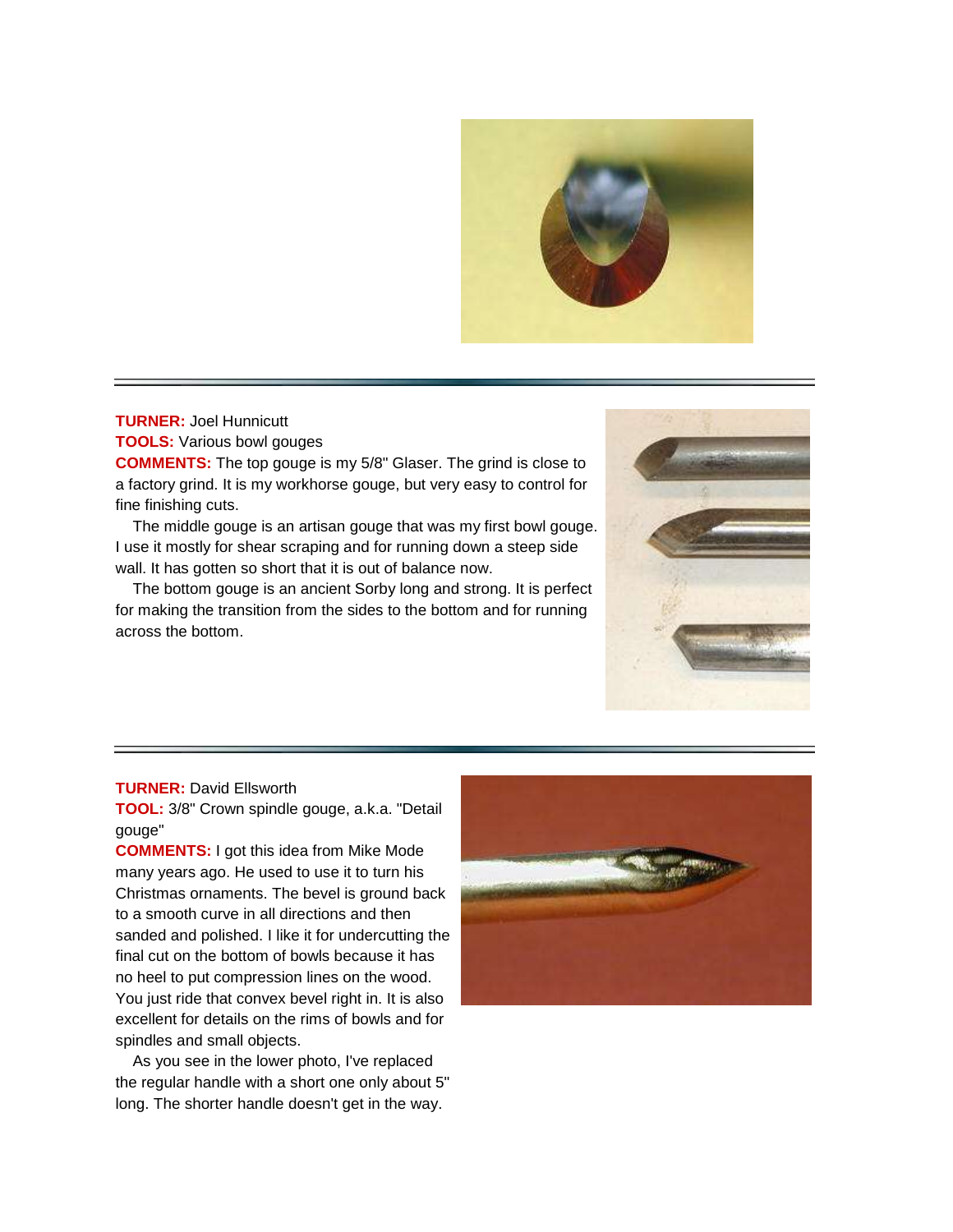

# **TURNER:** Joel Hunnicutt

**TOOLS:** Various bowl gouges

**COMMENTS:** The top gouge is my 5/8" Glaser. The grind is close to a factory grind. It is my workhorse gouge, but very easy to control for fine finishing cuts.

 The middle gouge is an artisan gouge that was my first bowl gouge. I use it mostly for shear scraping and for running down a steep side wall. It has gotten so short that it is out of balance now.

 The bottom gouge is an ancient Sorby long and strong. It is perfect for making the transition from the sides to the bottom and for running across the bottom.



#### **TURNER:** David Ellsworth

**TOOL:** 3/8" Crown spindle gouge, a.k.a. "Detail gouge"

**COMMENTS:** I got this idea from Mike Mode many years ago. He used to use it to turn his Christmas ornaments. The bevel is ground back to a smooth curve in all directions and then sanded and polished. I like it for undercutting the final cut on the bottom of bowls because it has no heel to put compression lines on the wood. You just ride that convex bevel right in. It is also excellent for details on the rims of bowls and for spindles and small objects.

 As you see in the lower photo, I've replaced the regular handle with a short one only about 5" long. The shorter handle doesn't get in the way.

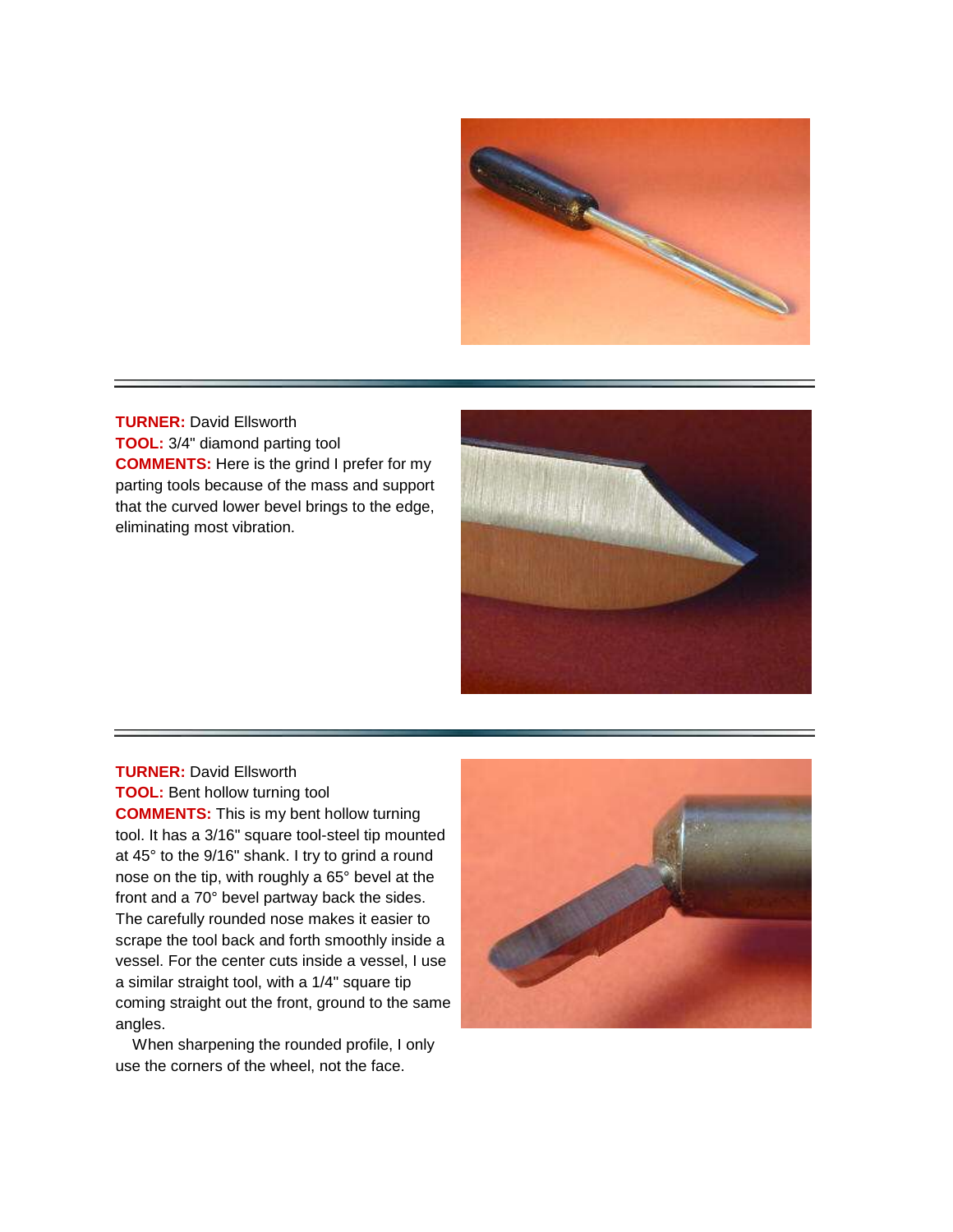

**TURNER:** David Ellsworth **TOOL:** 3/4" diamond parting tool **COMMENTS:** Here is the grind I prefer for my parting tools because of the mass and support that the curved lower bevel brings to the edge, eliminating most vibration.



**TURNER:** David Ellsworth **TOOL:** Bent hollow turning tool **COMMENTS:** This is my bent hollow turning tool. It has a 3/16" square tool-steel tip mounted at 45° to the 9/16" shank. I try to grind a round nose on the tip, with roughly a 65° bevel at the front and a 70° bevel partway back the sides. The carefully rounded nose makes it easier to scrape the tool back and forth smoothly inside a vessel. For the center cuts inside a vessel, I use a similar straight tool, with a 1/4" square tip coming straight out the front, ground to the same angles.

 When sharpening the rounded profile, I only use the corners of the wheel, not the face.

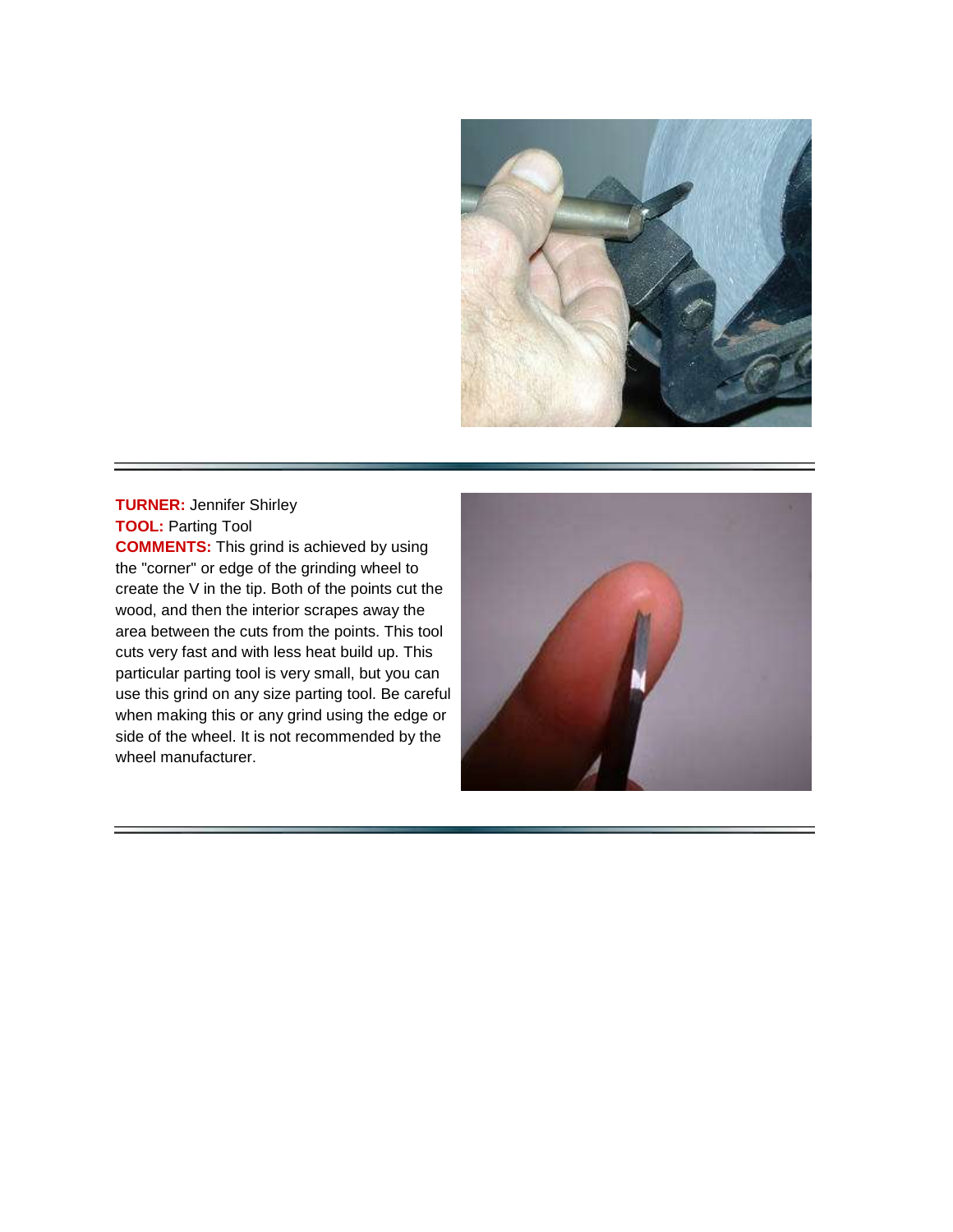

# **TURNER:** Jennifer Shirley **TOOL:** Parting Tool

**COMMENTS:** This grind is achieved by using the "corner" or edge of the grinding wheel to create the V in the tip. Both of the points cut the wood, and then the interior scrapes away the area between the cuts from the points. This tool cuts very fast and with less heat build up. This particular parting tool is very small, but you can use this grind on any size parting tool. Be careful when making this or any grind using the edge or side of the wheel. It is not recommended by the wheel manufacturer.

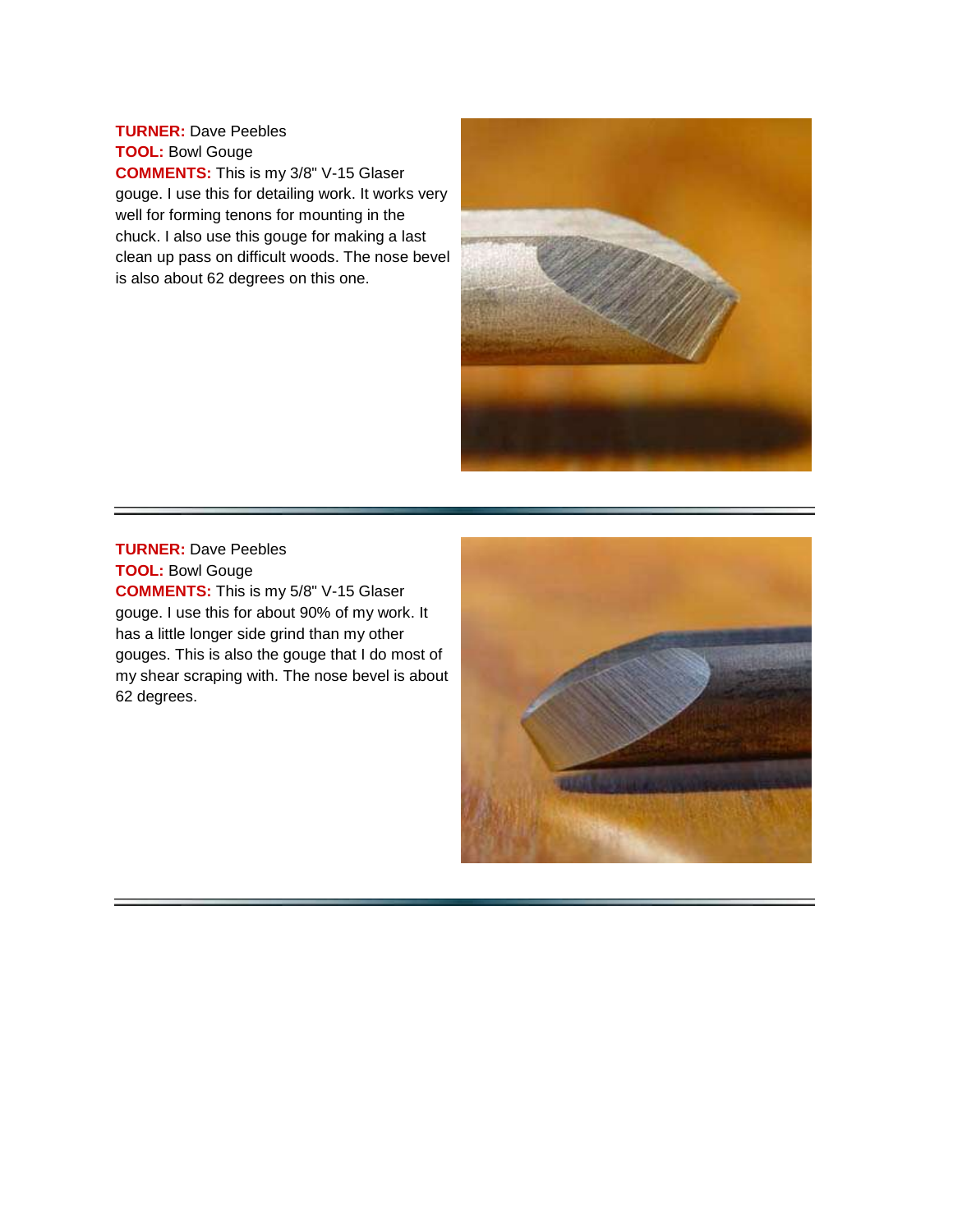**TURNER:** Dave Peebles **TOOL:** Bowl Gouge **COMMENTS:** This is my 3/8" V-15 Glaser gouge. I use this for detailing work. It works very well for forming tenons for mounting in the chuck. I also use this gouge for making a last clean up pass on difficult woods. The nose bevel is also about 62 degrees on this one.



**TURNER:** Dave Peebles **TOOL:** Bowl Gouge **COMMENTS:** This is my 5/8" V-15 Glaser gouge. I use this for about 90% of my work. It has a little longer side grind than my other gouges. This is also the gouge that I do most of my shear scraping with. The nose bevel is about 62 degrees.

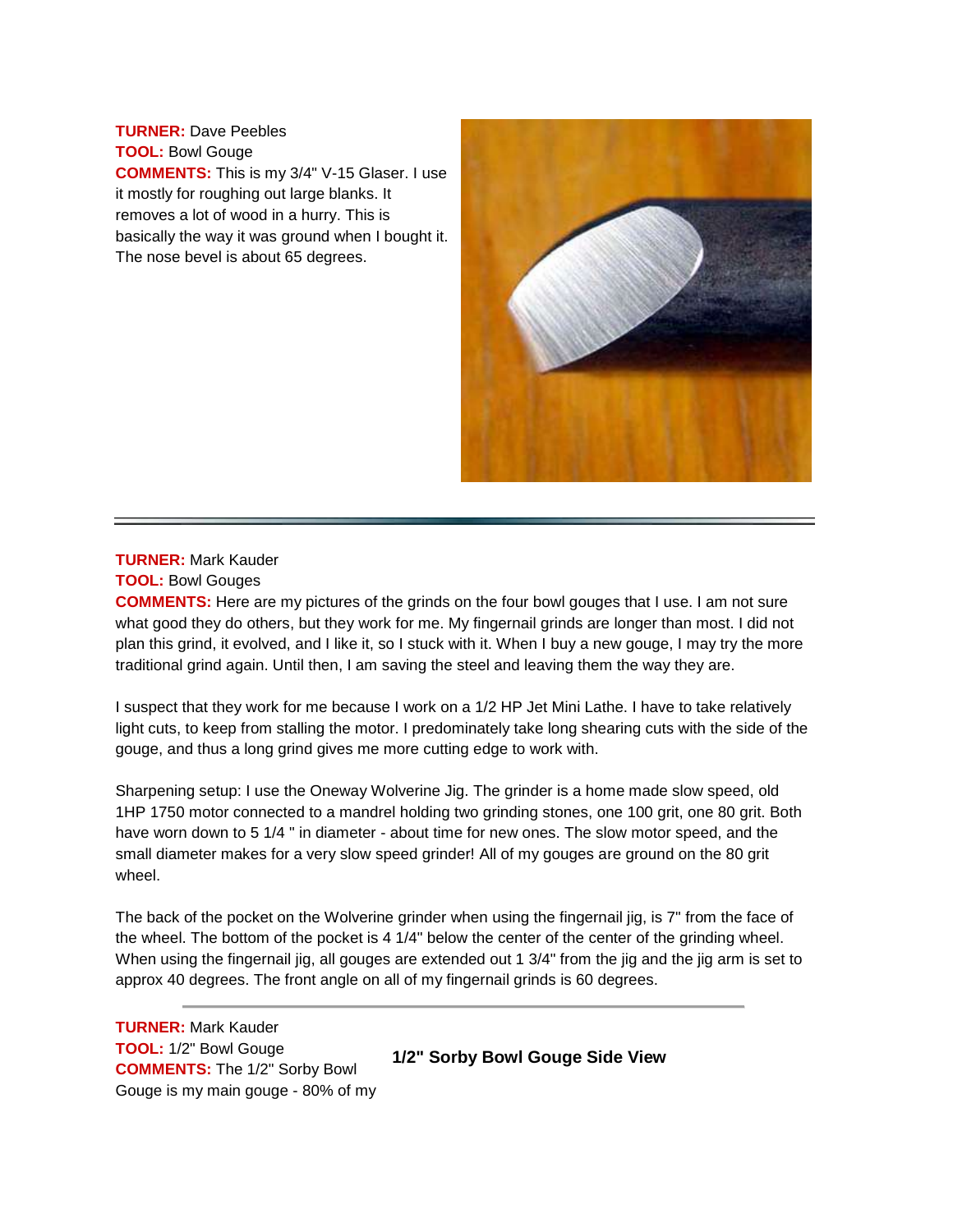**TURNER:** Dave Peebles **TOOL:** Bowl Gouge **COMMENTS:** This is my 3/4" V-15 Glaser. I use it mostly for roughing out large blanks. It removes a lot of wood in a hurry. This is basically the way it was ground when I bought it. The nose bevel is about 65 degrees.



# **TURNER:** Mark Kauder

**TOOL:** Bowl Gouges

**COMMENTS:** Here are my pictures of the grinds on the four bowl gouges that I use. I am not sure what good they do others, but they work for me. My fingernail grinds are longer than most. I did not plan this grind, it evolved, and I like it, so I stuck with it. When I buy a new gouge, I may try the more traditional grind again. Until then, I am saving the steel and leaving them the way they are.

I suspect that they work for me because I work on a 1/2 HP Jet Mini Lathe. I have to take relatively light cuts, to keep from stalling the motor. I predominately take long shearing cuts with the side of the gouge, and thus a long grind gives me more cutting edge to work with.

Sharpening setup: I use the Oneway Wolverine Jig. The grinder is a home made slow speed, old 1HP 1750 motor connected to a mandrel holding two grinding stones, one 100 grit, one 80 grit. Both have worn down to 5 1/4 " in diameter - about time for new ones. The slow motor speed, and the small diameter makes for a very slow speed grinder! All of my gouges are ground on the 80 grit wheel.

The back of the pocket on the Wolverine grinder when using the fingernail jig, is 7" from the face of the wheel. The bottom of the pocket is 4 1/4" below the center of the center of the grinding wheel. When using the fingernail jig, all gouges are extended out 1 3/4" from the jig and the jig arm is set to approx 40 degrees. The front angle on all of my fingernail grinds is 60 degrees.

**TURNER:** Mark Kauder **TOOL:** 1/2" Bowl Gouge **COMMENTS:** The 1/2" Sorby Bowl Gouge is my main gouge - 80% of my

**1/2" Sorby Bowl Gouge Side View**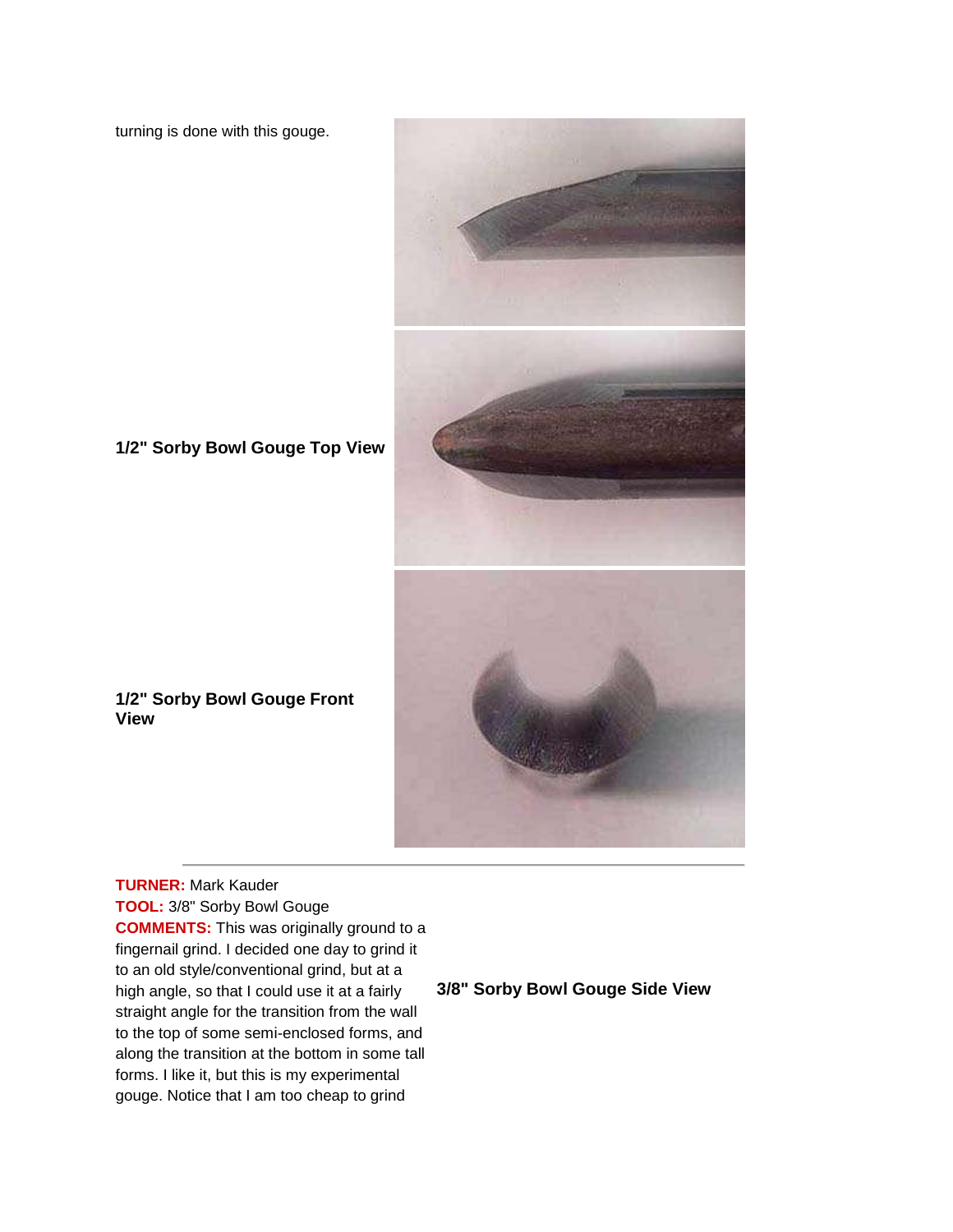turning is done with this gouge.



# **1/2" Sorby Bowl Gouge Top View**

#### **1/2" Sorby Bowl Gouge Front View**

**TURNER:** Mark Kauder **TOOL:** 3/8" Sorby Bowl Gouge **COMMENTS:** This was originally ground to a fingernail grind. I decided one day to grind it to an old style/conventional grind, but at a high angle, so that I could use it at a fairly straight angle for the transition from the wall to the top of some semi-enclosed forms, and along the transition at the bottom in some tall forms. I like it, but this is my experimental gouge. Notice that I am too cheap to grind

## **3/8" Sorby Bowl Gouge Side View**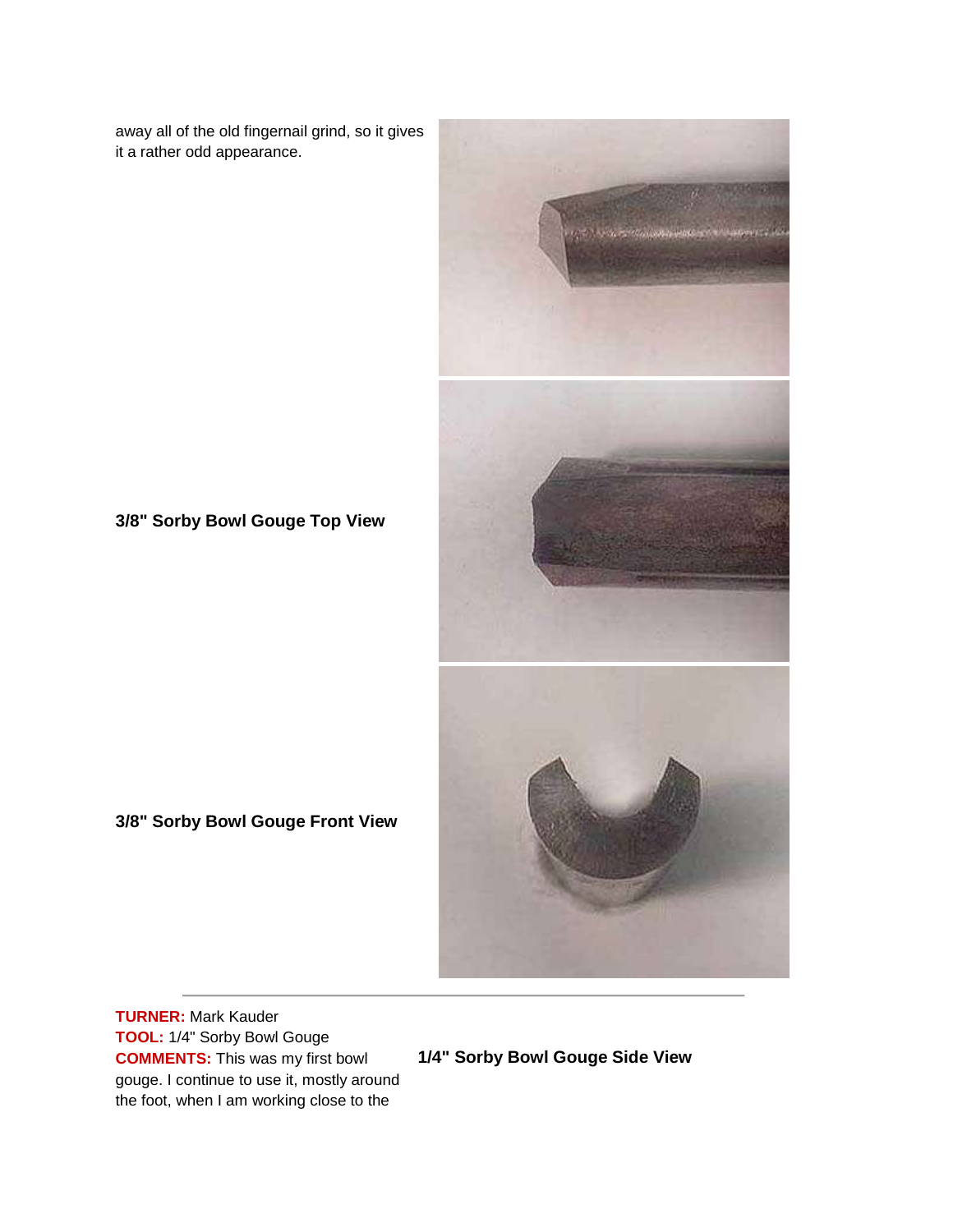away all of the old fingernail grind, so it gives it a rather odd appearance.



**3/8" Sorby Bowl Gouge Top View**

## **3/8" Sorby Bowl Gouge Front View**

**TURNER:** Mark Kauder **TOOL:** 1/4" Sorby Bowl Gouge **COMMENTS:** This was my first bowl gouge. I continue to use it, mostly around the foot, when I am working close to the

**1/4" Sorby Bowl Gouge Side View**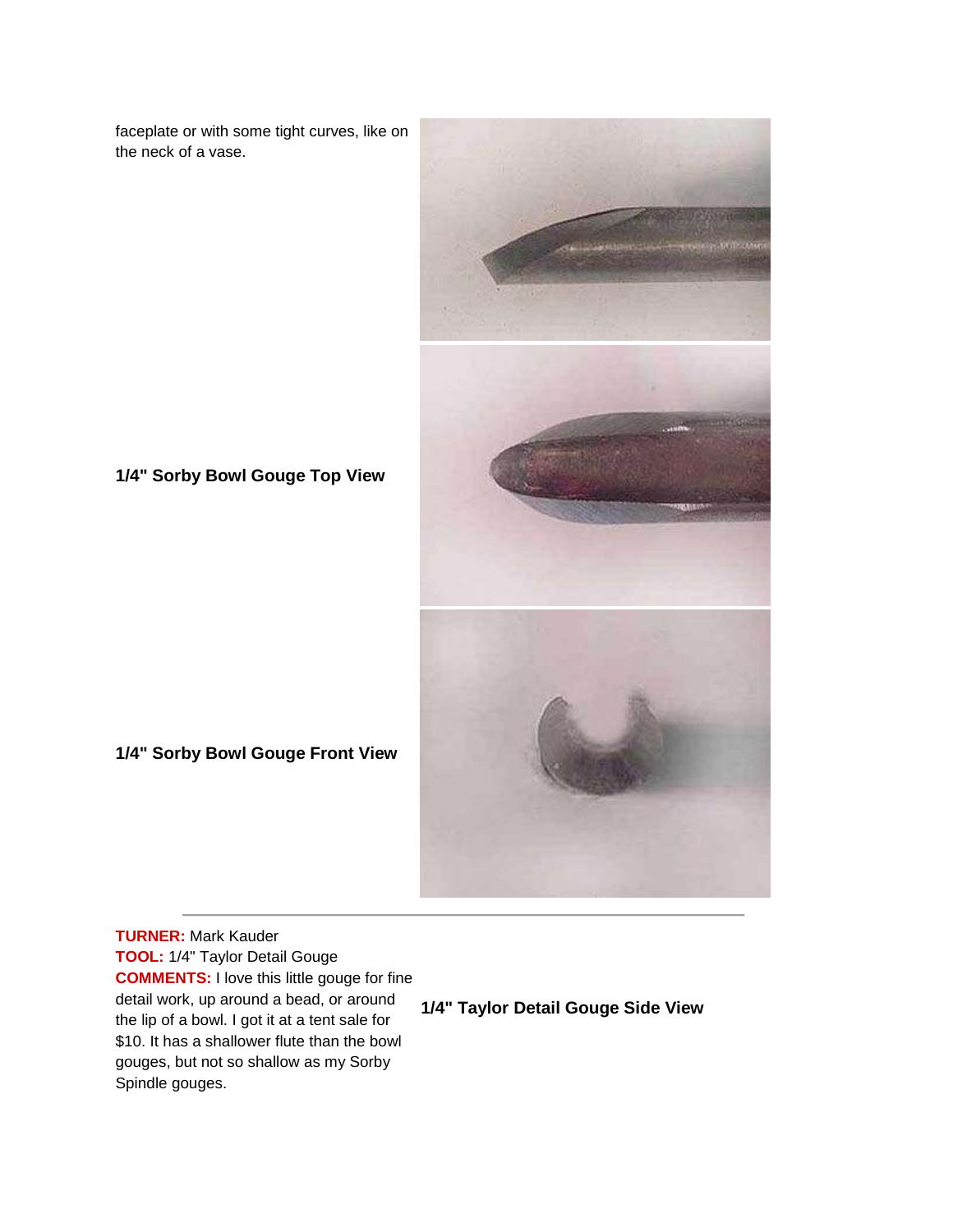faceplate or with some tight curves, like on the neck of a vase.



**1/4" Sorby Bowl Gouge Top View**

**1/4" Sorby Bowl Gouge Front View**

**TURNER:** Mark Kauder **TOOL:** 1/4" Taylor Detail Gouge **COMMENTS:** I love this little gouge for fine detail work, up around a bead, or around the lip of a bowl. I got it at a tent sale for \$10. It has a shallower flute than the bowl gouges, but not so shallow as my Sorby Spindle gouges.

# **1/4" Taylor Detail Gouge Side View**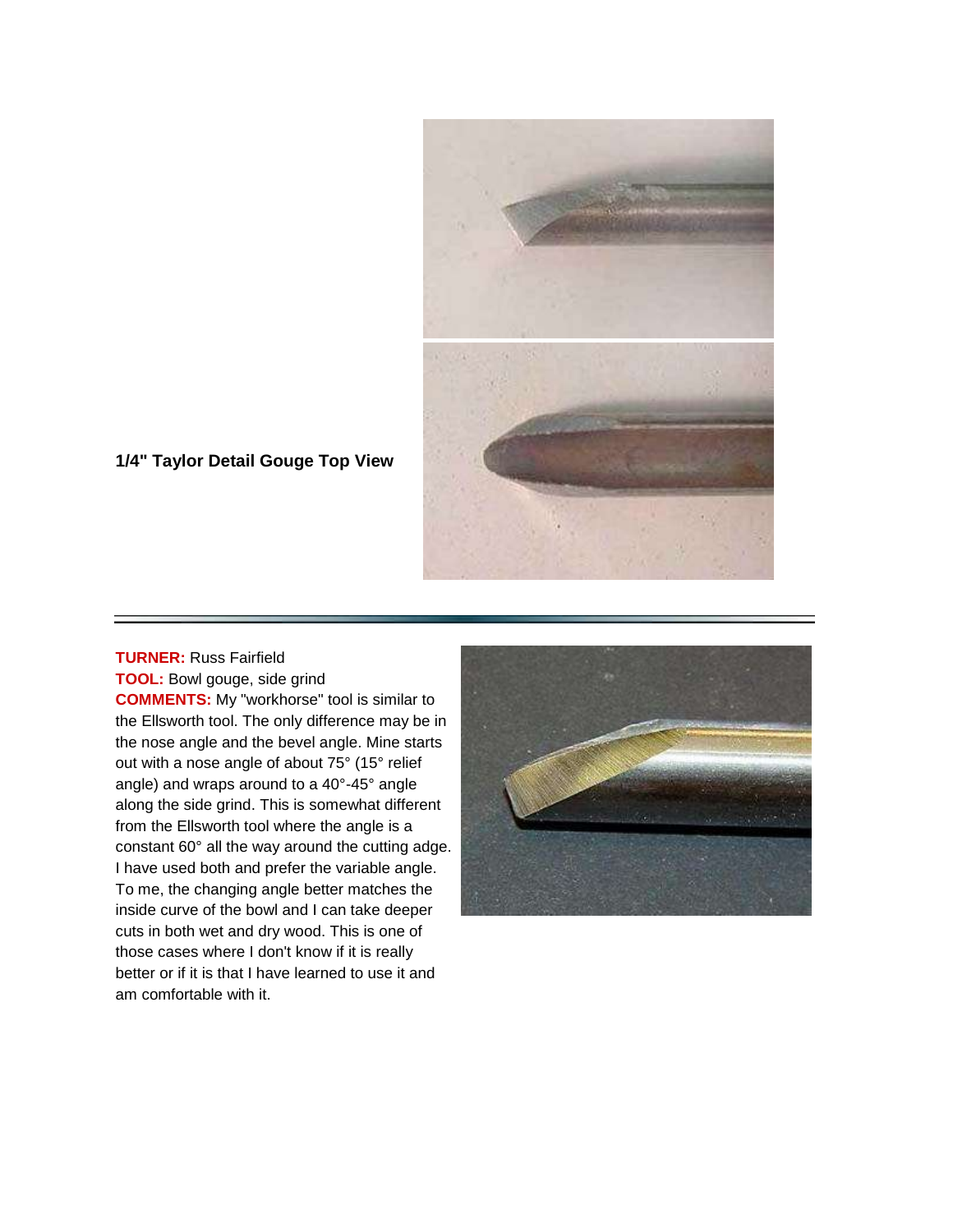

## **1/4" Taylor Detail Gouge Top View**

## **TURNER:** Russ Fairfield **TOOL:** Bowl gouge, side grind

**COMMENTS:** My "workhorse" tool is similar to the Ellsworth tool. The only difference may be in the nose angle and the bevel angle. Mine starts out with a nose angle of about 75° (15° relief angle) and wraps around to a 40°-45° angle along the side grind. This is somewhat different from the Ellsworth tool where the angle is a constant 60° all the way around the cutting adge. I have used both and prefer the variable angle. To me, the changing angle better matches the inside curve of the bowl and I can take deeper cuts in both wet and dry wood. This is one of those cases where I don't know if it is really better or if it is that I have learned to use it and am comfortable with it.

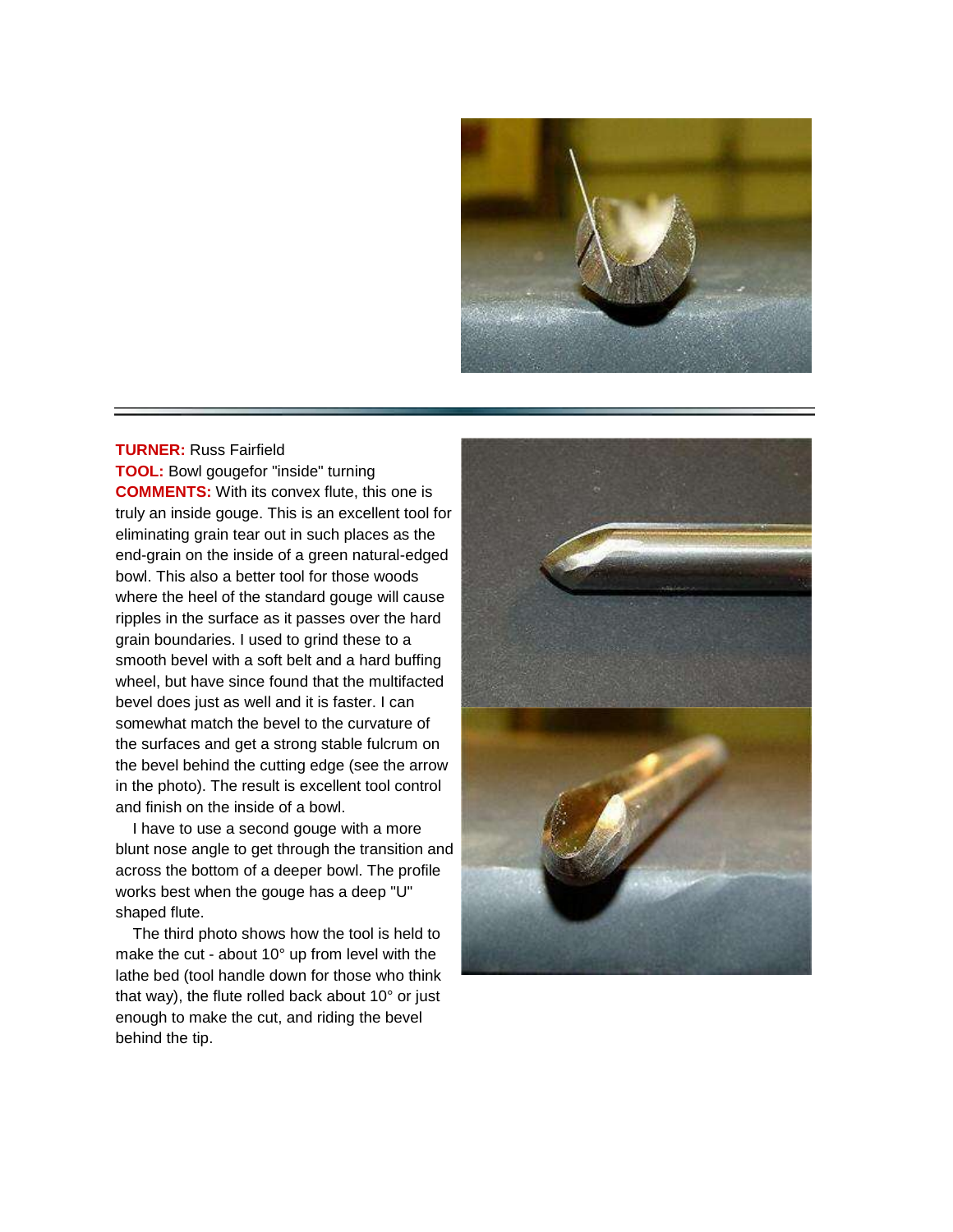

#### **TURNER:** Russ Fairfield

**TOOL:** Bowl gougefor "inside" turning **COMMENTS:** With its convex flute, this one is truly an inside gouge. This is an excellent tool for eliminating grain tear out in such places as the end-grain on the inside of a green natural-edged bowl. This also a better tool for those woods where the heel of the standard gouge will cause ripples in the surface as it passes over the hard grain boundaries. I used to grind these to a smooth bevel with a soft belt and a hard buffing wheel, but have since found that the multifacted bevel does just as well and it is faster. I can somewhat match the bevel to the curvature of the surfaces and get a strong stable fulcrum on the bevel behind the cutting edge (see the arrow in the photo). The result is excellent tool control and finish on the inside of a bowl.

 I have to use a second gouge with a more blunt nose angle to get through the transition and across the bottom of a deeper bowl. The profile works best when the gouge has a deep "U" shaped flute.

 The third photo shows how the tool is held to make the cut - about 10° up from level with the lathe bed (tool handle down for those who think that way), the flute rolled back about 10° or just enough to make the cut, and riding the bevel behind the tip.

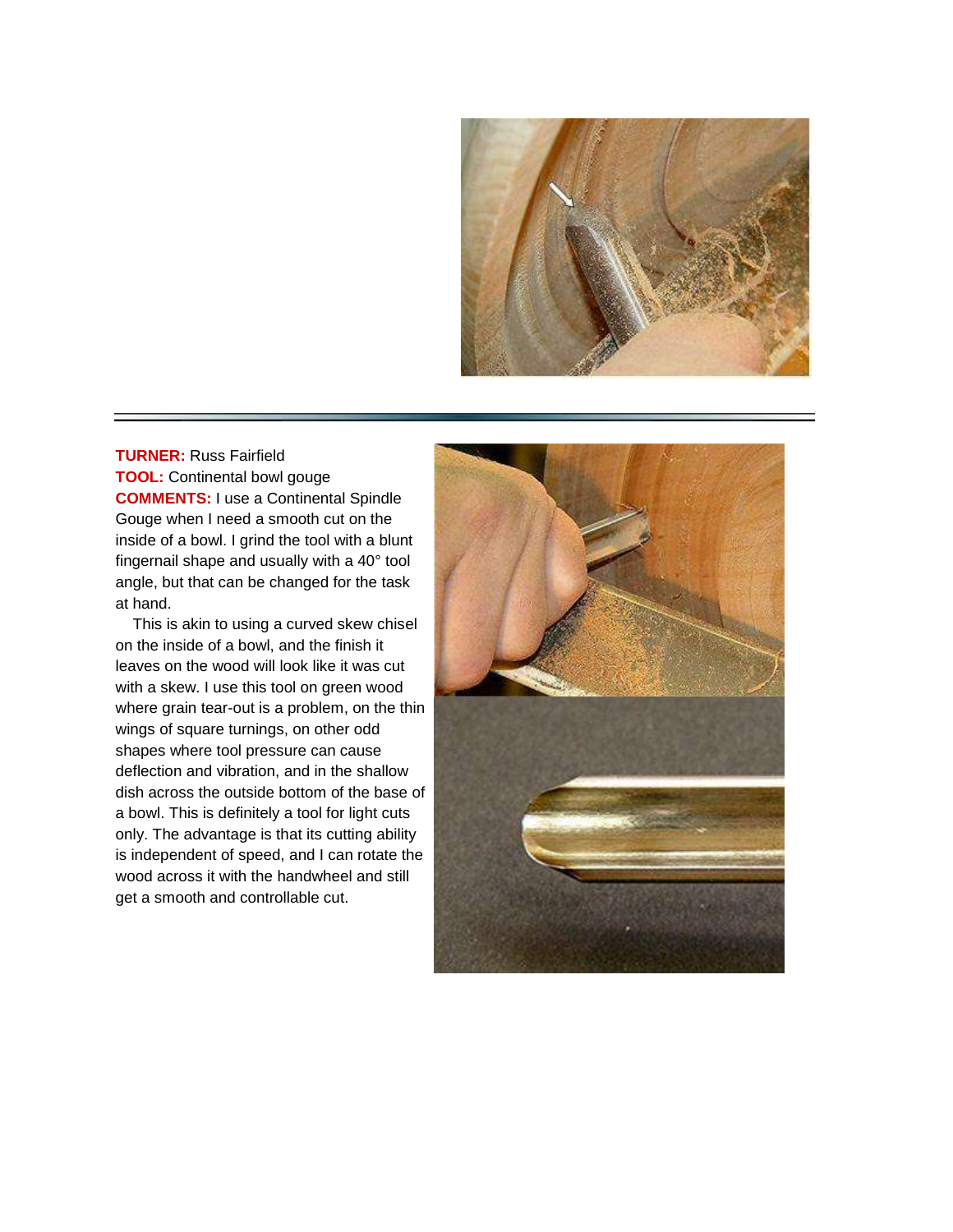

**TURNER:** Russ Fairfield **TOOL:** Continental bowl gouge **COMMENTS:** I use a Continental Spindle Gouge when I need a smooth cut on the inside of a bowl. I grind the tool with a blunt fingernail shape and usually with a 40° tool angle, but that can be changed for the task at hand.

 This is akin to using a curved skew chisel on the inside of a bowl, and the finish it leaves on the wood will look like it was cut with a skew. I use this tool on green wood where grain tear-out is a problem, on the thin wings of square turnings, on other odd shapes where tool pressure can cause deflection and vibration, and in the shallow dish across the outside bottom of the base of a bowl. This is definitely a tool for light cuts only. The advantage is that its cutting ability is independent of speed, and I can rotate the wood across it with the handwheel and still get a smooth and controllable cut.